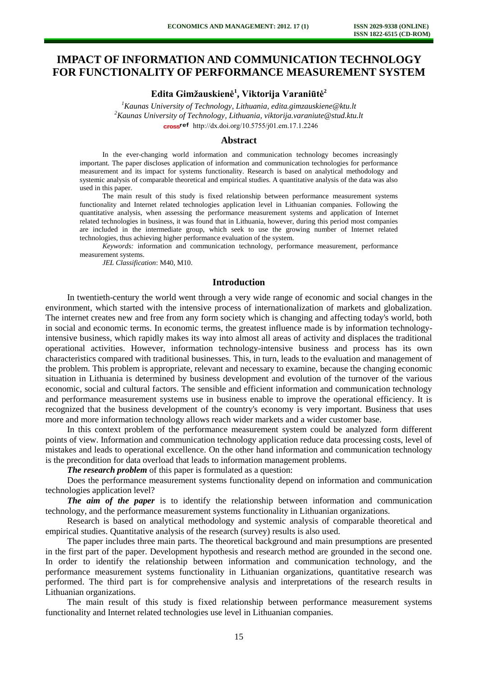# **IMPACT OF INFORMATION AND COMMUNICATION TECHNOLOGY FOR FUNCTIONALITY OF PERFORMANCE MEASUREMENT SYSTEM**

**Edita Gimžauskienė<sup>1</sup> , Viktorija Varaniūtė<sup>2</sup>**

*<sup>1</sup>Kaunas University of Technology, Lithuania, edita.gimzauskiene@ktu.lt <sup>2</sup>Kaunas University of Technology, Lithuania, viktorija.varaniute@stud.ktu.lt*  cross<sup>ref</sup> [http://dx.doi.org/10.5755/j01.e](http://dx.doi.org/10.5755/j01.em.17.1.2246)m.17.1.2246

## **Abstract**

In the ever-changing world information and communication technology becomes increasingly important. The paper discloses application of information and communication technologies for performance measurement and its impact for systems functionality. Research is based on analytical methodology and systemic analysis of comparable theoretical and empirical studies. A quantitative analysis of the data was also used in this paper.

The main result of this study is fixed relationship between performance measurement systems functionality and Internet related technologies application level in Lithuanian companies. Following the quantitative analysis, when assessing the performance measurement systems and application of Internet related technologies in business, it was found that in Lithuania, however, during this period most companies are included in the intermediate group, which seek to use the growing number of Internet related technologies, thus achieving higher performance evaluation of the system.

*Keywords:* information and communication technology, performance measurement, performance measurement systems.

*JEL Classification*: M40, M10.

#### **Introduction**

In twentieth-century the world went through a very wide range of economic and social changes in the environment, which started with the intensive process of internationalization of markets and globalization. The internet creates new and free from any form society which is changing and affecting today's world, both in social and economic terms. In economic terms, the greatest influence made is by information technologyintensive business, which rapidly makes its way into almost all areas of activity and displaces the traditional operational activities. However, information technology-intensive business and process has its own characteristics compared with traditional businesses. This, in turn, leads to the evaluation and management of the problem. This problem is appropriate, relevant and necessary to examine, because the changing economic situation in Lithuania is determined by business development and evolution of the turnover of the various economic, social and cultural factors. The sensible and efficient information and communication technology and performance measurement systems use in business enable to improve the operational efficiency. It is recognized that the business development of the country's economy is very important. Business that uses more and more information technology allows reach wider markets and a wider customer base.

In this context problem of the performance measurement system could be analyzed form different points of view. Information and communication technology application reduce data processing costs, level of mistakes and leads to operational excellence. On the other hand information and communication technology is the precondition for data overload that leads to information management problems.

*The research problem* of this paper is formulated as a question:

Does the performance measurement systems functionality depend on information and communication technologies application level?

*The aim of the paper* is to identify the relationship between information and communication technology, and the performance measurement systems functionality in Lithuanian organizations.

Research is based on analytical methodology and systemic analysis of comparable theoretical and empirical studies. Quantitative analysis of the research (survey) results is also used.

The paper includes three main parts. The theoretical background and main presumptions are presented in the first part of the paper. Development hypothesis and research method are grounded in the second one. In order to identify the relationship between information and communication technology, and the performance measurement systems functionality in Lithuanian organizations, quantitative research was performed. The third part is for comprehensive analysis and interpretations of the research results in Lithuanian organizations.

The main result of this study is fixed relationship between performance measurement systems functionality and Internet related technologies use level in Lithuanian companies.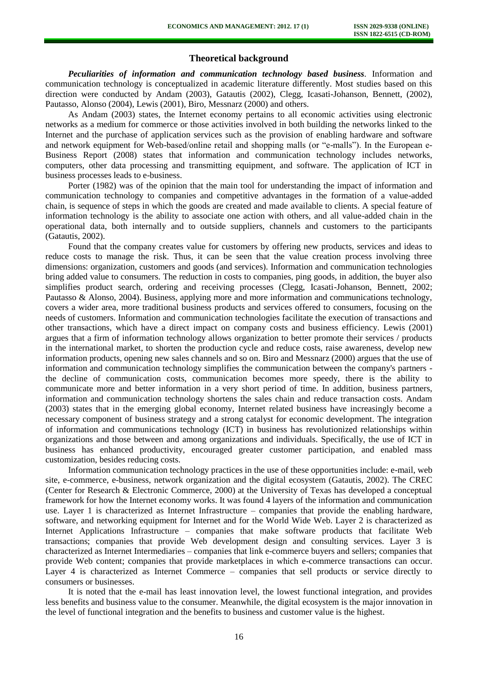# **Theoretical background**

*Peculiarities of information and communication technology based business.* Information and communication technology is conceptualized in academic literature differently. Most studies based on this direction were conducted by Andam (2003), Gatautis (2002), Clegg, Icasati-Johanson, Bennett, (2002), Pautasso, Alonso (2004), Lewis (2001), Biro, Messnarz (2000) and others.

As Andam (2003) states, the Internet economy pertains to all economic activities using electronic networks as a medium for commerce or those activities involved in both building the networks linked to the Internet and the purchase of application services such as the provision of enabling hardware and software and network equipment for Web-based/online retail and shopping malls (or "e-malls"). In the European e-Business Report (2008) states that information and communication technology includes networks, computers, other data processing and transmitting equipment, and software. The application of ICT in business processes leads to e-business.

Porter (1982) was of the opinion that the main tool for understanding the impact of information and communication technology to companies and competitive advantages in the formation of a value-added chain, is sequence of steps in which the goods are created and made available to clients. A special feature of information technology is the ability to associate one action with others, and all value-added chain in the operational data, both internally and to outside suppliers, channels and customers to the participants (Gatautis, 2002).

Found that the company creates value for customers by offering new products, services and ideas to reduce costs to manage the risk. Thus, it can be seen that the value creation process involving three dimensions: organization, customers and goods (and services). Information and communication technologies bring added value to consumers. The reduction in costs to companies, ping goods, in addition, the buyer also simplifies product search, ordering and receiving processes (Clegg, Icasati-Johanson, Bennett, 2002; Pautasso & Alonso, 2004). Business, applying more and more information and communications technology, covers a wider area, more traditional business products and services offered to consumers, focusing on the needs of customers. Information and communication technologies facilitate the execution of transactions and other transactions, which have a direct impact on company costs and business efficiency. Lewis (2001) argues that a firm of information technology allows organization to better promote their services / products in the international market, to shorten the production cycle and reduce costs, raise awareness, develop new information products, opening new sales channels and so on. Biro and Messnarz (2000) argues that the use of information and communication technology simplifies the communication between the company's partners the decline of communication costs, communication becomes more speedy, there is the ability to communicate more and better information in a very short period of time. In addition, business partners, information and communication technology shortens the sales chain and reduce transaction costs. Andam (2003) states that in the emerging global economy, Internet related business have increasingly become a necessary component of business strategy and a strong catalyst for economic development. The integration of information and communications technology (ICT) in business has revolutionized relationships within organizations and those between and among organizations and individuals. Specifically, the use of ICT in business has enhanced productivity, encouraged greater customer participation, and enabled mass customization, besides reducing costs.

Information communication technology practices in the use of these opportunities include: e-mail, web site, e-commerce, e-business, network organization and the digital ecosystem (Gatautis, 2002). The CREC (Center for Research & Electronic Commerce, 2000) at the University of Texas has developed a conceptual framework for how the Internet economy works. It was found 4 layers of the information and communication use. Layer 1 is characterized as Internet Infrastructure – companies that provide the enabling hardware, software, and networking equipment for Internet and for the World Wide Web. Layer 2 is characterized as Internet Applications Infrastructure – companies that make software products that facilitate Web transactions; companies that provide Web development design and consulting services. Layer 3 is characterized as Internet Intermediaries – companies that link e-commerce buyers and sellers; companies that provide Web content; companies that provide marketplaces in which e-commerce transactions can occur. Layer 4 is characterized as Internet Commerce – companies that sell products or service directly to consumers or businesses.

It is noted that the e-mail has least innovation level, the lowest functional integration, and provides less benefits and business value to the consumer. Meanwhile, the digital ecosystem is the major innovation in the level of functional integration and the benefits to business and customer value is the highest.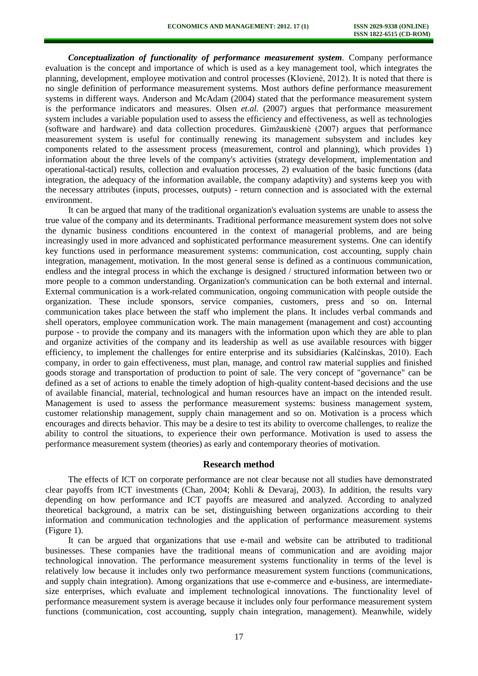*Conceptualization of functionality of performance measurement system.* Company performance evaluation is the concept and importance of which is used as a key management tool, which integrates the planning, development, employee motivation and control processes (Klovienė, 2012). It is noted that there is no single definition of performance measurement systems. Most authors define performance measurement systems in different ways. Anderson and McAdam (2004) stated that the performance measurement system is the performance indicators and measures. Olsen *et.al.* (2007) argues that performance measurement system includes a variable population used to assess the efficiency and effectiveness, as well as technologies (software and hardware) and data collection procedures. Gimžauskienė (2007) argues that performance measurement system is useful for continually renewing its management subsystem and includes key components related to the assessment process (measurement, control and planning), which provides 1) information about the three levels of the company's activities (strategy development, implementation and operational-tactical) results, collection and evaluation processes, 2) evaluation of the basic functions (data integration, the adequacy of the information available, the company adaptivity) and systems keep you with the necessary attributes (inputs, processes, outputs) - return connection and is associated with the external environment.

It can be argued that many of the traditional organization's evaluation systems are unable to assess the true value of the company and its determinants. Traditional performance measurement system does not solve the dynamic business conditions encountered in the context of managerial problems, and are being increasingly used in more advanced and sophisticated performance measurement systems. One can identify key functions used in performance measurement systems: communication, cost accounting, supply chain integration, management, motivation. In the most general sense is defined as a continuous communication, endless and the integral process in which the exchange is designed / structured information between two or more people to a common understanding. Organization's communication can be both external and internal. External communication is a work-related communication, ongoing communication with people outside the organization. These include sponsors, service companies, customers, press and so on. Internal communication takes place between the staff who implement the plans. It includes verbal commands and shell operators, employee communication work. The main management (management and cost) accounting purpose - to provide the company and its managers with the information upon which they are able to plan and organize activities of the company and its leadership as well as use available resources with bigger efficiency, to implement the challenges for entire enterprise and its subsidiaries (Kalčinskas, 2010). Each company, in order to gain effectiveness, must plan, manage, and control raw material supplies and finished goods storage and transportation of production to point of sale. The very concept of "governance" can be defined as a set of actions to enable the timely adoption of high-quality content-based decisions and the use of available financial, material, technological and human resources have an impact on the intended result. Management is used to assess the performance measurement systems: business management system, customer relationship management, supply chain management and so on. Motivation is a process which encourages and directs behavior. This may be a desire to test its ability to overcome challenges, to realize the ability to control the situations, to experience their own performance. Motivation is used to assess the performance measurement system (theories) as early and contemporary theories of motivation.

#### **Research method**

The effects of ICT on corporate performance are not clear because not all studies have demonstrated clear payoffs from ICT investments (Chan, 2004; Kohli & Devaraj, 2003). In addition, the results vary depending on how performance and ICT payoffs are measured and analyzed. According to analyzed theoretical background, a matrix can be set, distinguishing between organizations according to their information and communication technologies and the application of performance measurement systems (Figure 1).

It can be argued that organizations that use e-mail and website can be attributed to traditional businesses. These companies have the traditional means of communication and are avoiding major technological innovation. The performance measurement systems functionality in terms of the level is relatively low because it includes only two performance measurement system functions (communications, and supply chain integration). Among organizations that use e-commerce and e-business, are intermediatesize enterprises, which evaluate and implement technological innovations. The functionality level of performance measurement system is average because it includes only four performance measurement system functions (communication, cost accounting, supply chain integration, management). Meanwhile, widely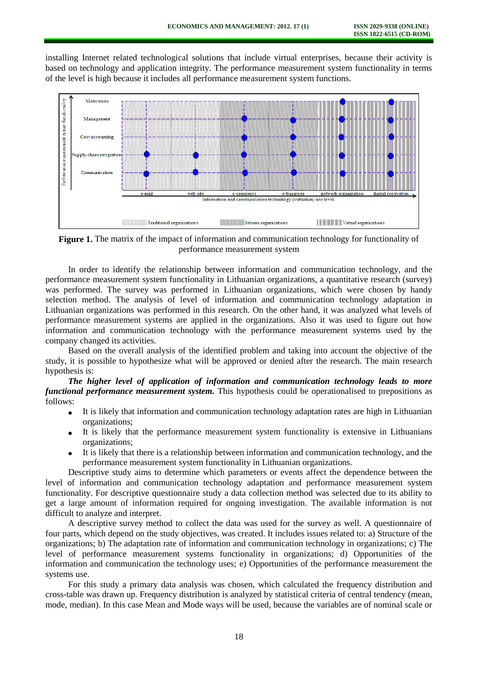installing Internet related technological solutions that include virtual enterprises, because their activity is based on technology and application integrity. The performance measurement system functionality in terms of the level is high because it includes all performance measurement system functions.



**Figure 1.** The matrix of the impact of information and communication technology for functionality of performance measurement system

In order to identify the relationship between information and communication technology, and the performance measurement system functionality in Lithuanian organizations, a quantitative research (survey) was performed. The survey was performed in Lithuanian organizations, which were chosen by handy selection method. The analysis of level of information and communication technology adaptation in Lithuanian organizations was performed in this research. On the other hand, it was analyzed what levels of performance measurement systems are applied in the organizations. Also it was used to figure out how information and communication technology with the performance measurement systems used by the company changed its activities.

Based on the overall analysis of the identified problem and taking into account the objective of the study, it is possible to hypothesize what will be approved or denied after the research. The main research hypothesis is:

*The higher level of application of information and communication technology leads to more functional performance measurement system.* This hypothesis could be operationalised to prepositions as follows:

- It is likely that information and communication technology adaptation rates are high in Lithuanian  $\bullet$ organizations;
- It is likely that the performance measurement system functionality is extensive in Lithuanians organizations;
- It is likely that there is a relationship between information and communication technology, and the performance measurement system functionality in Lithuanian organizations.

Descriptive study aims to determine which parameters or events affect the dependence between the level of information and communication technology adaptation and performance measurement system functionality. For descriptive questionnaire study a data collection method was selected due to its ability to get a large amount of information required for ongoing investigation. The available information is not difficult to analyze and interpret.

A descriptive survey method to collect the data was used for the survey as well. A questionnaire of four parts, which depend on the study objectives, was created. It includes issues related to: a) Structure of the organizations; b) The adaptation rate of information and communication technology in organizations; c) The level of performance measurement systems functionality in organizations; d) Opportunities of the information and communication the technology uses; e) Opportunities of the performance measurement the systems use.

For this study a primary data analysis was chosen, which calculated the frequency distribution and cross-table was drawn up. Frequency distribution is analyzed by statistical criteria of central tendency (mean, mode, median). In this case Mean and Mode ways will be used, because the variables are of nominal scale or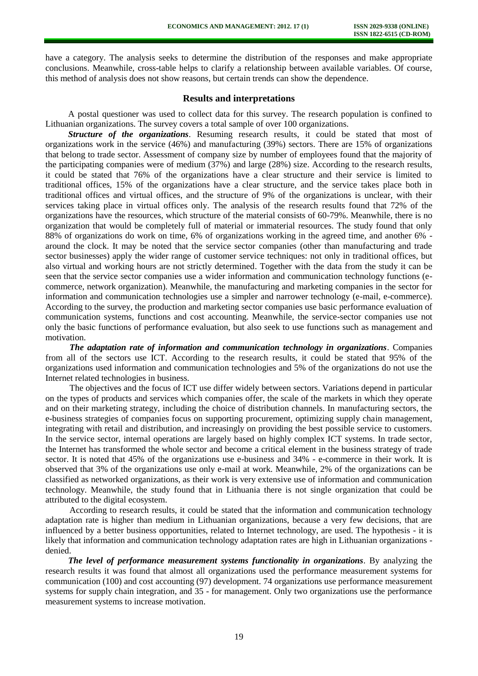have a category. The analysis seeks to determine the distribution of the responses and make appropriate conclusions. Meanwhile, cross-table helps to clarify a relationship between available variables. Of course, this method of analysis does not show reasons, but certain trends can show the dependence.

### **Results and interpretations**

A postal questioner was used to collect data for this survey. The research population is confined to Lithuanian organizations. The survey covers a total sample of over 100 organizations.

*Structure of the organizations*. Resuming research results, it could be stated that most of organizations work in the service (46%) and manufacturing (39%) sectors. There are 15% of organizations that belong to trade sector. Assessment of company size by number of employees found that the majority of the participating companies were of medium (37%) and large (28%) size. According to the research results, it could be stated that 76% of the organizations have a clear structure and their service is limited to traditional offices, 15% of the organizations have a clear structure, and the service takes place both in traditional offices and virtual offices, and the structure of 9% of the organizations is unclear, with their services taking place in virtual offices only. The analysis of the research results found that 72% of the organizations have the resources, which structure of the material consists of 60-79%. Meanwhile, there is no organization that would be completely full of material or immaterial resources. The study found that only 88% of organizations do work on time, 6% of organizations working in the agreed time, and another 6% around the clock. It may be noted that the service sector companies (other than manufacturing and trade sector businesses) apply the wider range of customer service techniques: not only in traditional offices, but also virtual and working hours are not strictly determined. Together with the data from the study it can be seen that the service sector companies use a wider information and communication technology functions (ecommerce, network organization). Meanwhile, the manufacturing and marketing companies in the sector for information and communication technologies use a simpler and narrower technology (e-mail, e-commerce). According to the survey, the production and marketing sector companies use basic performance evaluation of communication systems, functions and cost accounting. Meanwhile, the service-sector companies use not only the basic functions of performance evaluation, but also seek to use functions such as management and motivation.

*The adaptation rate of information and communication technology in organizations*. Companies from all of the sectors use ICT. According to the research results, it could be stated that 95% of the organizations used information and communication technologies and 5% of the organizations do not use the Internet related technologies in business.

The objectives and the focus of ICT use differ widely between sectors. Variations depend in particular on the types of products and services which companies offer, the scale of the markets in which they operate and on their marketing strategy, including the choice of distribution channels. In manufacturing sectors, the e-business strategies of companies focus on supporting procurement, optimizing supply chain management, integrating with retail and distribution, and increasingly on providing the best possible service to customers. In the service sector, internal operations are largely based on highly complex ICT systems. In trade sector, the Internet has transformed the whole sector and become a critical element in the business strategy of trade sector. It is noted that 45% of the organizations use e-business and 34% - e-commerce in their work. It is observed that 3% of the organizations use only e-mail at work. Meanwhile, 2% of the organizations can be classified as networked organizations, as their work is very extensive use of information and communication technology. Meanwhile, the study found that in Lithuania there is not single organization that could be attributed to the digital ecosystem.

According to research results, it could be stated that the information and communication technology adaptation rate is higher than medium in Lithuanian organizations, because a very few decisions, that are influenced by a better business opportunities, related to Internet technology, are used. The hypothesis - it is likely that information and communication technology adaptation rates are high in Lithuanian organizations denied.

*The level of performance measurement systems functionality in organizations*. By analyzing the research results it was found that almost all organizations used the performance measurement systems for communication (100) and cost accounting (97) development. 74 organizations use performance measurement systems for supply chain integration, and 35 - for management. Only two organizations use the performance measurement systems to increase motivation.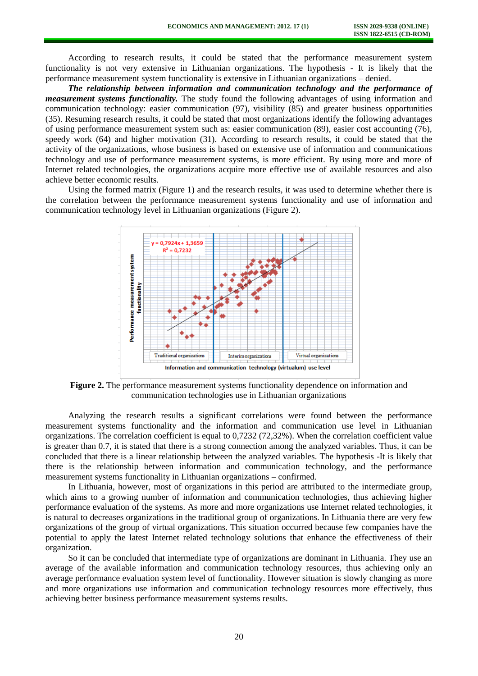According to research results, it could be stated that the performance measurement system functionality is not very extensive in Lithuanian organizations. The hypothesis - It is likely that the performance measurement system functionality is extensive in Lithuanian organizations – denied.

*The relationship between information and communication technology and the performance of measurement systems functionality.* The study found the following advantages of using information and communication technology: easier communication (97), visibility (85) and greater business opportunities (35). Resuming research results, it could be stated that most organizations identify the following advantages of using performance measurement system such as: easier communication (89), easier cost accounting (76), speedy work (64) and higher motivation (31). According to research results, it could be stated that the activity of the organizations, whose business is based on extensive use of information and communications technology and use of performance measurement systems, is more efficient. By using more and more of Internet related technologies, the organizations acquire more effective use of available resources and also achieve better economic results.

Using the formed matrix (Figure 1) and the research results, it was used to determine whether there is the correlation between the performance measurement systems functionality and use of information and communication technology level in Lithuanian organizations (Figure 2).



**Figure 2.** The performance measurement systems functionality dependence on information and communication technologies use in Lithuanian organizations

Analyzing the research results a significant correlations were found between the performance measurement systems functionality and the information and communication use level in Lithuanian organizations. The correlation coefficient is equal to 0,7232 (72,32%). When the correlation coefficient value is greater than 0.7, it is stated that there is a strong connection among the analyzed variables. Thus, it can be concluded that there is a linear relationship between the analyzed variables. The hypothesis -It is likely that there is the relationship between information and communication technology, and the performance measurement systems functionality in Lithuanian organizations – confirmed.

In Lithuania, however, most of organizations in this period are attributed to the intermediate group, which aims to a growing number of information and communication technologies, thus achieving higher performance evaluation of the systems. As more and more organizations use Internet related technologies, it is natural to decreases organizations in the traditional group of organizations. In Lithuania there are very few organizations of the group of virtual organizations. This situation occurred because few companies have the potential to apply the latest Internet related technology solutions that enhance the effectiveness of their organization.

So it can be concluded that intermediate type of organizations are dominant in Lithuania. They use an average of the available information and communication technology resources, thus achieving only an average performance evaluation system level of functionality. However situation is slowly changing as more and more organizations use information and communication technology resources more effectively, thus achieving better business performance measurement systems results.